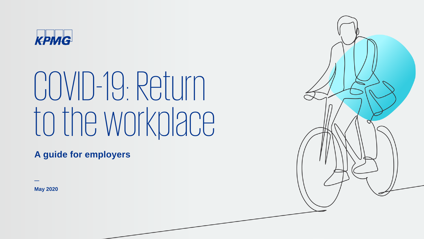

# COVID-19: Return to the workplace

**A guide for employers**

**May 2020**

**—**

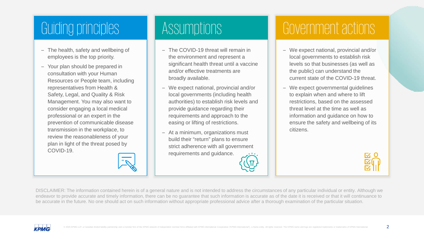### [Guiding principles](#page-13-0)

- The health, safety and wellbeing of employees is the top priority.
- Your plan should be prepared in consultation with your Human [Resources or People team, including](#page-13-0)  representatives from Health & Safety, Legal, and Quality & Risk Management. You may also want to consider engaging a local medical professional or an expert in the prevention of communicable disease transmission in the workplace, to review the reasonableness of your plan in light of the threat posed by COVID-19.



### [Assumptions](#page-13-0)

- The COVID-19 threat will remain in the environment and represent a significant health threat until a vaccine and/or effective treatments are broadly available.
- We expect national, provincial and/or local governments (including health [authorities\) to establish risk levels and](#page-13-0)  provide guidance regarding their requirements and approach to the easing or lifting of restrictions.
- At a minimum, organizations must build their "return" plans to ensure strict adherence with all government requirements and guidance.

### [Government actions](#page-13-0)

- We expect national, provincial and/or local governments to establish risk levels so that businesses (as well as the public) can understand the current state of the COVID-19 threat.
- We expect governmental guidelines to explain when and where to lift restrictions, based on the assessed threat level at the time as well as information and guidance on how to [ensure the safety and wellbeing of its](#page-13-0)  citizens.



DISCLAIMER: The information contained herein is of a general nature and is not intended to address the circumstances of any particular individual or entity. Although we endeavor to provide accurate and timely information, there can be no guarantee that such information is accurate as of the date it is received or that it will continuance to be accurate in the future. No one should act on such information without appropriate professional advice after a thorough examination of the particular situation.

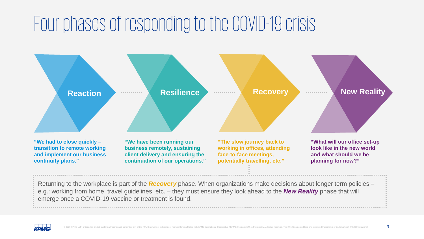### Four phases of responding to the COVID-19 crisis



Returning to the workplace is part of the *Recovery* phase. When organizations make decisions about longer term policies – e.g.: working from home, travel guidelines, etc. – they must ensure they look ahead to the *New Reality* phase that will emerge once a COVID-19 vaccine or treatment is found.

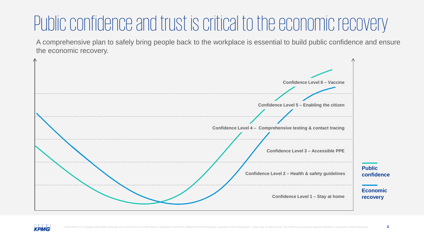### Public confidence and trust is critical to the economic recovery

A comprehensive plan to safely bring people back to the workplace is essential to build public confidence and ensure the economic recovery.



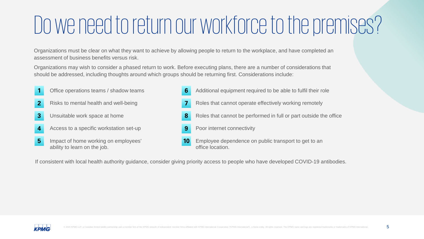## Do we need to return our workforce to the premises?

Organizations must be clear on what they want to achieve by allowing people to return to the workplace, and have completed an assessment of business benefits versus risk.

Organizations may wish to consider a phased return to work. Before executing plans, there are a number of considerations that should be addressed, including thoughts around which groups should be returning first. Considerations include:

Office operations teams / shadow teams Risks to mental health and well-being Unsuitable work space at home Access to a specific workstation set-up Impact of home working on employees' ability to learn on the job. Additional equipment required to be able to fulfil their role Roles that cannot operate effectively working remotely Roles that cannot be performed in full or part outside the office Poor internet connectivity Employee dependence on public transport to get to an office location. **1 2 3 4 5 6 7 8 9 10**

If consistent with local health authority guidance, consider giving priority access to people who have developed COVID-19 antibodies.

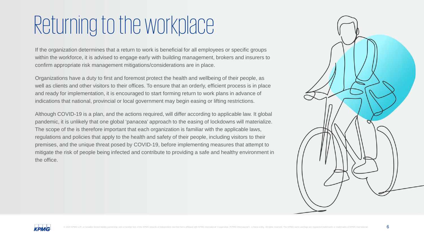### Returning to the workplace

If the organization determines that a return to work is beneficial for all employees or specific groups within the workforce, it is advised to engage early with building management, brokers and insurers to confirm appropriate risk management mitigations/considerations are in place.

Organizations have a duty to first and foremost protect the health and wellbeing of their people, as well as clients and other visitors to their offices. To ensure that an orderly, efficient process is in place and ready for implementation, it is encouraged to start forming return to work plans in advance of indications that national, provincial or local government may begin easing or lifting restrictions.

Although COVID-19 is a plan, and the actions required, will differ according to applicable law. It global pandemic, it is unlikely that one global 'panacea' approach to the easing of lockdowns will materialize. The scope of the is therefore important that each organization is familiar with the applicable laws, regulations and policies that apply to the health and safety of their people, including visitors to their premises, and the unique threat posed by COVID-19, before implementing measures that attempt to mitigate the risk of people being infected and contribute to providing a safe and healthy environment in the office.



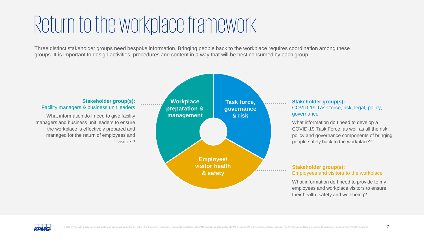### Return to the workplace framework

Three distinct stakeholder groups need bespoke information. Bringing people back to the workplace requires coordination among these groups. It is important to design activities, procedures and content in a way that will be best consumed by each group.



employees and workplace visitors to ensure their health, safety and well-being?

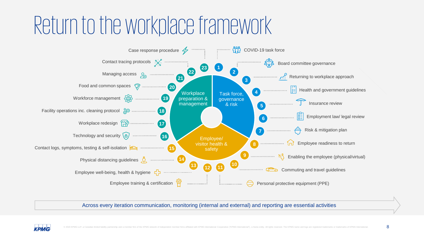## Return to the workplace framework



Across every iteration communication, monitoring (internal and external) and reporting are essential activities

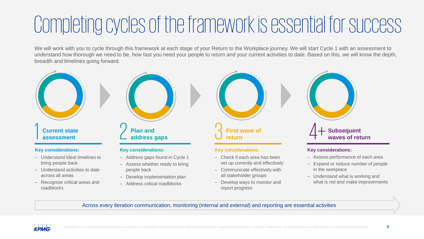### Completing cycles of the framework is essential for success

We will work with you to cycle through this framework at each stage of your Return to the Workplace journey. We will start Cycle 1 with an assessment to understand how thorough we need to be, how fast you need your people to return and your current activities to date. Based on this, we will know the depth, breadth and timelines going forward.



- Expand or reduce number of people in the workplace
- Understand what is working and what is not and make improvements

Across every iteration communication, monitoring (internal and external) and reporting are essential activities

– Assess whether ready to bring

– Develop implementation plan – Address critical roadblocks

people back



– Understand activities to date

– Recognize critical areas and

across all areas

roadblocks

– Communicate effectively with all stakeholder groups

– Develop ways to monitor and

report progress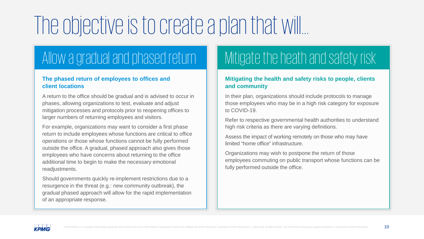# The objective is to create a plan that will…

### [Allow a gradual and phased return](#page-13-0)

#### **The phased return of employees to offices and client locations**

[A return to the office should be gradual and is advised to occur in](#page-13-0)  phases, allowing organizations to test, evaluate and adjust mitigation processes and protocols prior to reopening offices to larger numbers of returning employees and visitors.

For example, organizations may want to consider a first phase return to include employees whose functions are critical to office operations or those whose functions cannot be fully performed outside the office. A gradual, phased approach also gives those employees who have concerns about returning to the office additional time to begin to make the necessary emotional readjustments.

Should governments quickly re-implement restrictions due to a resurgence in the threat (e.g.: new community outbreak), the gradual phased approach will allow for the rapid implementation of an appropriate response.

### [Mitigate the heath and safety risk](#page-13-0)

#### **[Mitigating the health and safety risks to people, clients](#page-13-0)  and community**

In their plan, organizations should include protocols to manage those employees who may be in a high risk category for exposure to COVID-19.

Refer to respective governmental health authorities to understand high risk criteria as there are varying definitions.

Assess the impact of working remotely on those who may have limited "home office" infrastructure.

Organizations may wish to postpone the return of those employees commuting on public transport whose functions can be fully performed outside the office.

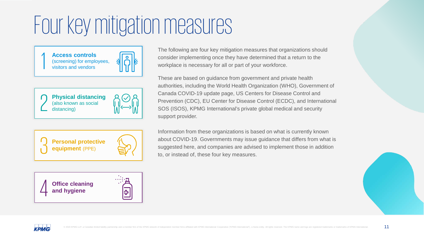**Access controls**  (screening) for employees,<br>visitors and vendors



**Physical distancing Physical distancial**<br>(also known as social<br>distancing)





**Office cleaning and hygiene** 

The following are four key mitigation measures that organizations should consider implementing once they have determined that a return to the workplace is necessary for all or part of your workforce.

These are based on guidance from government and private health authorities, including the World Health Organization (WHO), Government of Canada COVID-19 update page, US Centers for Disease Control and Prevention (CDC), EU Center for Disease Control (ECDC), and International SOS (ISOS), KPMG International's private global medical and security support provider.

Information from these organizations is based on what is currently known about COVID-19. Governments may issue guidance that differs from what is suggested here, and companies are advised to implement those in addition to, or instead of, these four key measures.



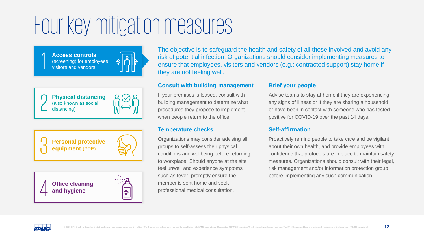**Access controls**  (screening) for employees, visitors and vendors



**Physical distancing Physical distancial**<br>(also known as social<br>distancing)







The objective is to safeguard the health and safety of all those involved and avoid any risk of potential infection. Organizations should consider implementing measures to ensure that employees, visitors and vendors (e.g.: contracted support) stay home if they are not feeling well.

#### **Consult with building management**

If your premises is leased, consult with building management to determine what procedures they propose to implement when people return to the office.

#### **Temperature checks**

Organizations may consider advising all groups to self-assess their physical conditions and wellbeing before returning to workplace. Should anyone at the site feel unwell and experience symptoms such as fever, promptly ensure the member is sent home and seek professional medical consultation.

#### **Brief your people**

Advise teams to stay at home if they are experiencing any signs of illness or if they are sharing a household or have been in contact with someone who has tested positive for COVID-19 over the past 14 days.

#### **Self-affirmation**

Proactively remind people to take care and be vigilant about their own health, and provide employees with confidence that protocols are in place to maintain safety measures. Organizations should consult with their legal, risk management and/or information protection group before implementing any such communication.

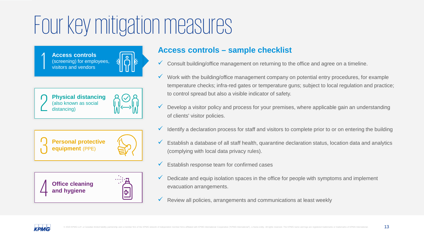(screening) for employees,<br>visitors and vendors



**Physical distancing Physical distancial**<br>(also known as social<br>distancing)







### Access controls **Access controls – sample checklist**

- $\checkmark$  Consult building/office management on returning to the office and agree on a timeline.
- $\checkmark$  Work with the building/office management company on potential entry procedures, for example temperature checks; infra-red gates or temperature guns; subject to local regulation and practice; to control spread but also a visible indicator of safety.
- Develop a visitor policy and process for your premises, where applicable gain an understanding of clients' visitor policies.
- Identify a declaration process for staff and visitors to complete prior to or on entering the building
- Establish a database of all staff health, quarantine declaration status, location data and analytics (complying with local data privacy rules).
- Establish response team for confirmed cases
- $\checkmark$  Dedicate and equip isolation spaces in the office for people with symptoms and implement evacuation arrangements.
- $\checkmark$  Review all policies, arrangements and communications at least weekly

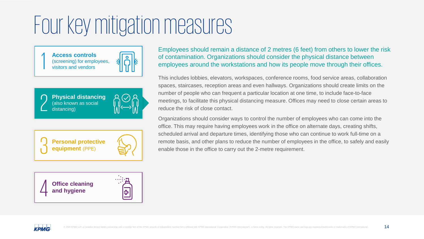<span id="page-13-0"></span>**Access controls**  (screening) for employees,<br>visitors and vendors



**Physical distancing**  (also known as social<br>  $\sum_{\text{distance}}$  distancing)





**Office cleaning**<br>and hygiene

Employees should remain a distance of 2 metres (6 feet) from others to lower the risk of contamination. Organizations should consider the physical distance between employees around the workstations and how its people move through their offices.

This includes lobbies, elevators, workspaces, conference rooms, food service areas, collaboration spaces, staircases, reception areas and even hallways. Organizations should create limits on the number of people who can frequent a particular location at one time, to include face-to-face meetings, to facilitate this physical distancing measure. Offices may need to close certain areas to reduce the risk of close contact.

Organizations should consider ways to control the number of employees who can come into the office. This may require having employees work in the office on alternate days, creating shifts, scheduled arrival and departure times, identifying those who can continue to work full-time on a remote basis, and other plans to reduce the number of employees in the office, to safely and easily enable those in the office to carry out the 2-metre requirement.

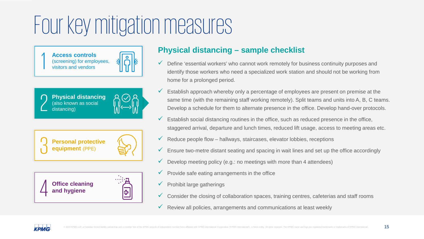(screening) for employees,<br>visitors and vendors



**Physical distancing**  (also known as social<br>  $\sum_{\text{distance}}$  distancing)







### **Physical distancing – sample checklist** Access controls

- $\checkmark$  Define 'essential workers' who cannot work remotely for business continuity purposes and identify those workers who need a specialized work station and should not be working from home for a prolonged period.
- Establish approach whereby only a percentage of employees are present on premise at the same time (with the remaining staff working remotely). Split teams and units into A, B, C teams. Develop a schedule for them to alternate presence in the office. Develop hand-over protocols.
- Establish social distancing routines in the office, such as reduced presence in the office, staggered arrival, departure and lunch times, reduced lift usage, access to meeting areas etc.
- Reduce people flow hallways, staircases, elevator lobbies, receptions
- $\checkmark$  Ensure two-metre distant seating and spacing in wait lines and set up the office accordingly
- $\checkmark$  Develop meeting policy (e.g.: no meetings with more than 4 attendees)
- $\checkmark$  Provide safe eating arrangements in the office
- $\checkmark$  Prohibit large gatherings
- $\checkmark$  Consider the closing of collaboration spaces, training centres, cafeterias and staff rooms
- $\checkmark$  Review all policies, arrangements and communications at least weekly

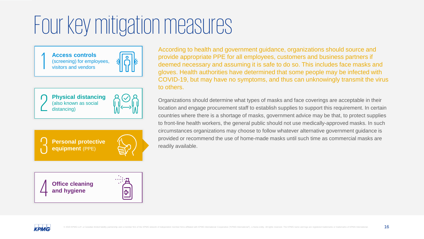**Access controls**  (screening) for employees,<br>visitors and vendors



**Physical distancing Physical distancial**<br>(also known as social<br>distancing)





**Office cleaning and hygiene** 

According to health and government guidance, organizations should source and provide appropriate PPE for all employees, customers and business partners if deemed necessary and assuming it is safe to do so. This includes face masks and gloves. Health authorities have determined that some people may be infected with COVID-19, but may have no symptoms, and thus can unknowingly transmit the virus to others.

Organizations should determine what types of masks and face coverings are acceptable in their location and engage procurement staff to establish supplies to support this requirement. In certain countries where there is a shortage of masks, government advice may be that, to protect supplies to front-line health workers, the general public should not use medically-approved masks. In such circumstances organizations may choose to follow whatever alternative government guidance is provided or recommend the use of home-made masks until such time as commercial masks are readily available.

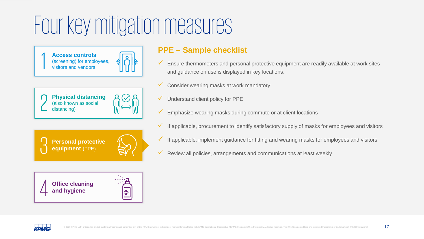(screening) for employees,<br>visitors and vendors

**Physical distancing** 

**Personal protective** 

**equipment** (PPE)

**Physical distancial**<br>(also known as social<br>distancing)



### **PPE – Sample checklist** Access controls

- $\checkmark$  Ensure thermometers and personal protective equipment are readily available at work sites and guidance on use is displayed in key locations.
- Consider wearing masks at work mandatory
- Understand client policy for PPE
- $\checkmark$  Emphasize wearing masks during commute or at client locations
- If applicable, procurement to identify satisfactory supply of masks for employees and visitors
- $\checkmark$  If applicable, implement guidance for fitting and wearing masks for employees and visitors
- $\checkmark$  Review all policies, arrangements and communications at least weekly





ე<br>ე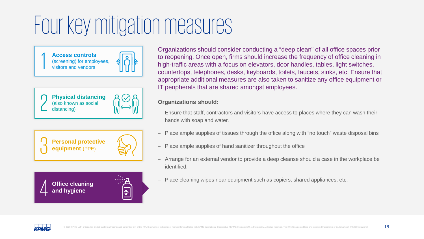**Access controls**  (screening) for employees,<br>visitors and vendors



**Physical distancing Physical distancial**<br>(also known as social<br>distancing)







Organizations should consider conducting a "deep clean" of all office spaces prior to reopening. Once open, firms should increase the frequency of office cleaning in high-traffic areas with a focus on elevators, door handles, tables, light switches, countertops, telephones, desks, keyboards, toilets, faucets, sinks, etc. Ensure that appropriate additional measures are also taken to sanitize any office equipment or IT peripherals that are shared amongst employees.

#### **Organizations should:**

- Ensure that staff, contractors and visitors have access to places where they can wash their hands with soap and water.
- Place ample supplies of tissues through the office along with "no touch" waste disposal bins
- Place ample supplies of hand sanitizer throughout the office
- Arrange for an external vendor to provide a deep cleanse should a case in the workplace be identified.
- Place cleaning wipes near equipment such as copiers, shared appliances, etc.

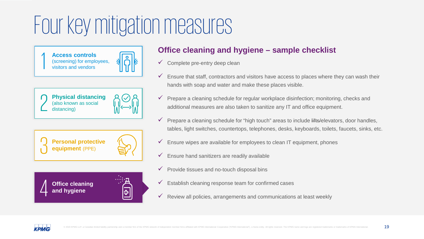(screening) for employees,<br>visitors and vendors



**Physical distancing Physical distancial**<br>(also known as social<br>distancing)







### **Office cleaning and hygiene – sample checklist** Access controls

- $\checkmark$  Complete pre-entry deep clean
- $\checkmark$  Ensure that staff, contractors and visitors have access to places where they can wash their hands with soap and water and make these places visible.
- Prepare a cleaning schedule for regular workplace disinfection; monitoring, checks and additional measures are also taken to sanitize any IT and office equipment.
- $\checkmark$  Prepare a cleaning schedule for "high touch" areas to include lifts/elevators, door handles, tables, light switches, countertops, telephones, desks, keyboards, toilets, faucets, sinks, etc.
- $\checkmark$  Ensure wipes are available for employees to clean IT equipment, phones
- $\checkmark$  Ensure hand sanitizers are readily available
- $\checkmark$  Provide tissues and no-touch disposal bins
- $\checkmark$  Establish cleaning response team for confirmed cases
- $\checkmark$  Review all policies, arrangements and communications at least weekly

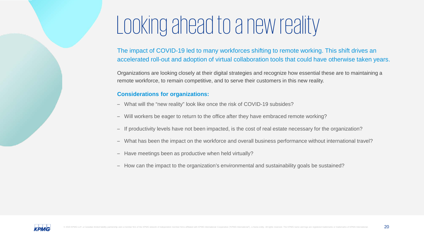### Looking ahead to a new reality

The impact of COVID-19 led to many workforces shifting to remote working. This shift drives an accelerated roll-out and adoption of virtual collaboration tools that could have otherwise taken years.

Organizations are looking closely at their digital strategies and recognize how essential these are to maintaining a remote workforce, to remain competitive, and to serve their customers in this new reality.

#### **Considerations for organizations:**

- What will the "new reality" look like once the risk of COVID-19 subsides?
- Will workers be eager to return to the office after they have embraced remote working?
- If productivity levels have not been impacted, is the cost of real estate necessary for the organization?
- What has been the impact on the workforce and overall business performance without international travel?
- Have meetings been as productive when held virtually?
- How can the impact to the organization's environmental and sustainability goals be sustained?

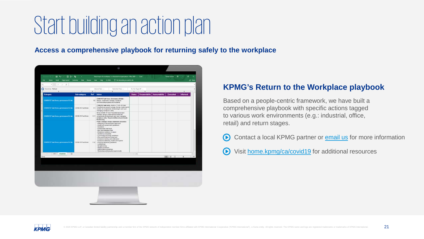## Start building an action plan

**Access a comprehensive playbook for returning safely to the workplace**



### **KPMG's Return to the Workplace playbook**

Based on a people-centric framework, we have built a comprehensive playbook with specific actions tagged to various work environments (e.g.: industrial, office, retail) and return stages.

- $\bigodot$ Contact a local KPMG partner or [email us](mailto:covidresponse@kpmg.ca?subject=Returning%20to%20the%20workplace) for more information
- $\bigodot$ Visit [home.kpmg/ca/covid19](http://home.kpmg/ca/covid19) for additional resources

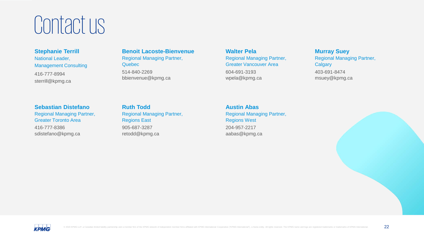### Contact us

**Stephanie Terrill**  National Leader, Management Consulting 416-777-8994 sterrill@kpmg.ca

**Benoit Lacoste-Bienvenue**  Regional Managing Partner, **Quebec** 514-840-2269 bbienvenue@kpmg.ca

**Walter Pela** Regional Managing Partner, Greater Vancouver Area 604-691-3193 wpela@kpmg.ca

**Murray Suey**  Regional Managing Partner, **Calgary** 403-691-8474 msuey@kpmg.ca

**Sebastian Distefano** Regional Managing Partner, Greater Toronto Area

416-777-8386 sdistefano@kpmg.ca **Ruth Todd**  Regional Managing Partner, Regions East 905-687-3287 retodd@kpmg.ca

**Austin Abas** Regional Managing Partner, Regions West 204-957-2217 aabas@kpmg.ca